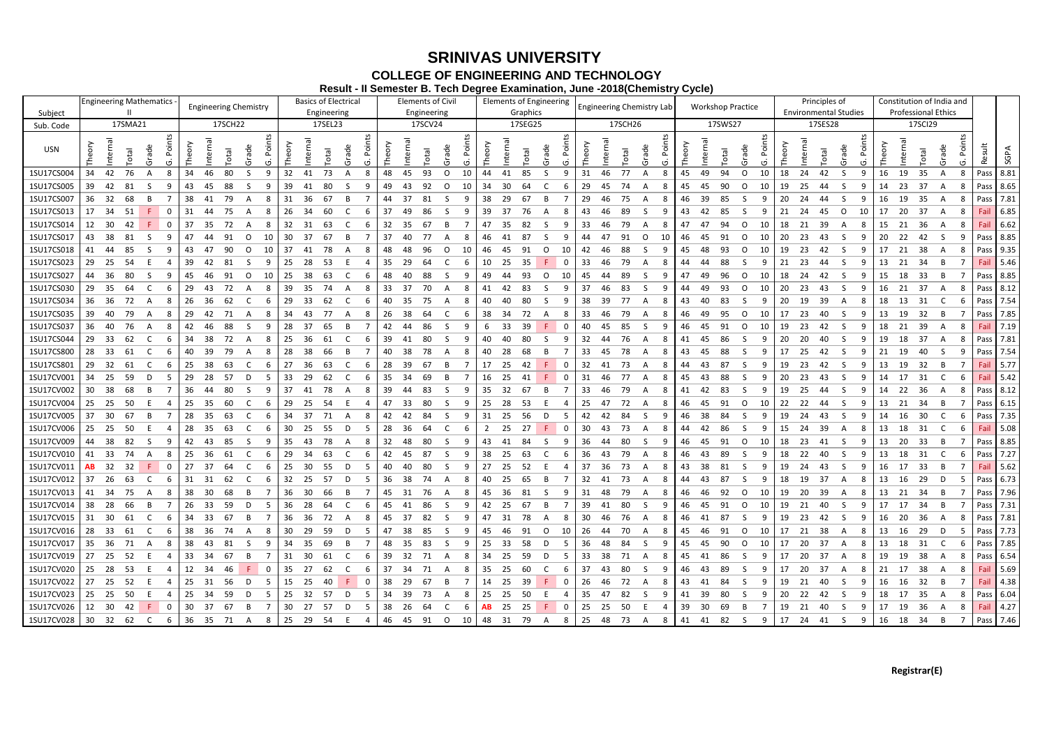### **Registrar(E)**

## **SRINIVAS UNIVERSITY COLLEGE OF ENGINEERING AND TECHNOLOGY**

**Result - II Semester B. Tech Degree Examination, June -2018(Chemistry Cycle)**

|            | <b>Engineering Mathematics</b>       | <b>Engineering Chemistry</b> | <b>Basics of Electrical</b> | <b>Elements of Civil</b> | <b>Elements of Engineering</b>          | <b>Engineering Chemistry Lab</b> | <b>Workshop Practice</b>                | Principles of                    | Constitution of India and                                                                                                                                                         |
|------------|--------------------------------------|------------------------------|-----------------------------|--------------------------|-----------------------------------------|----------------------------------|-----------------------------------------|----------------------------------|-----------------------------------------------------------------------------------------------------------------------------------------------------------------------------------|
| Subject    |                                      |                              | Engineering                 | Engineering              | Graphics                                |                                  |                                         | <b>Environmental Studies</b>     | <b>Professional Ethics</b>                                                                                                                                                        |
| Sub. Code  | 17SMA21                              | 17SCH22                      | 17SEL23                     | 17SCV24                  | 17SEG25                                 | 17SCH26                          | 17SWS27                                 | 17SES28                          | 17SCI29                                                                                                                                                                           |
| USN        | Internal<br>Total<br>ನ               | ω<br>otal<br>ನ<br>(5)        |                             | otal                     | ി<br>್ಲಾ                                | otal<br>್ದಾ                      | terna<br>Φ<br>ā<br>otal<br>ाँ           | ದ                                | ₹<br>ਨੂ<br>(5)<br>ທ                                                                                                                                                               |
| 1SU17CS004 | 42<br>76<br>34<br>$\mathsf{A}$<br>-8 | 80<br>34<br>46<br>-9         | 73<br>32<br>41              | 93<br>48<br>$\Omega$     | 44<br>85<br>41<br><sub>S</sub><br>-9    | 31<br>77<br>-8                   | 45<br>49<br>94<br>$\Omega$<br>10        | 24<br>18<br>42<br>-S             | 35<br>8.81<br>16<br>19<br>8<br>Pass                                                                                                                                               |
| 1SU17CS005 | 42<br>81<br>39                       | 88<br>43<br>45               | 39<br>80<br>41              | 49<br>92<br>O            | -34<br>-6                               | 29<br>74                         | 90<br>45<br>45<br>∩<br>10               | 19<br>-25                        | -23<br>37<br>14<br>Pass   8.65<br>8                                                                                                                                               |
| 1SU17CS007 | 36<br>-32<br>68                      | 38<br>79                     | 31<br>36                    | 44<br>-37                | -38<br>-29<br>67                        | 29                               | 46<br>39<br>-85                         | 20<br>-24                        | 16<br>19<br>-35<br>Pass   7.81                                                                                                                                                    |
| 1SU17CS013 | 17<br>-34<br>-51<br>0                | 44<br>75<br>31               | 26<br>-34<br>60<br>6        | 37<br>86                 | -39<br>-37<br>76<br>- 8<br>$\mathsf{A}$ | 43<br>89<br>-S<br>9              | 43<br>-42<br>85<br>-9                   | 21<br>-24<br>45<br>$\circ$<br>10 | 6.85<br>17<br>-20<br>-37<br>-8<br>Fail                                                                                                                                            |
| 1SU17CS014 | 12 30<br>42<br>- 0                   | 37<br>35<br>72               | 32<br>-31<br>-63<br>6       | 32<br>-35<br>-67<br>-B   | 47<br>-35<br>-82<br>-9                  | 33<br>-79<br>A                   | 47<br>-94<br>$\Omega$<br>10<br>47       | 18<br>-21<br>-39                 | -36<br>6.62<br>15<br>-21<br>Fail                                                                                                                                                  |
| 1SU17CS017 | 43 38<br>-81<br>- S<br>g             | 47<br>91<br>10<br>-44<br>∩   | 30<br>- 37                  | 37<br>40.                | 46<br>-41<br>-87                        | 91<br><sup>0</sup>               | 46<br>45<br>-91<br>$\Omega$<br>10       | 20<br>-23                        | -22<br>8.85<br>20<br>-42<br>-9<br>-S.<br>Pass                                                                                                                                     |
| 1SU17CS018 | 41<br>-44<br>85<br>g                 | 90<br>43<br>10               | 37<br>41                    | 48<br>96<br>$\Omega$     | 46<br>10<br>-45<br>n                    | 42                               | 45<br>48<br>-93<br>∩<br>10              | 19<br>-23<br>42<br>-S            | Pass 9.35<br>17<br>21<br>-38                                                                                                                                                      |
| 1SU17CS023 | 29<br>- 25<br>-54                    | 39<br>42<br>-81              | 28<br>25<br>-53             | 35<br>-29<br>64          | -25<br>-35<br>10                        | 33<br>79                         | 88                                      | 21<br>-23<br>-S                  | 5.46<br>13<br>-34<br>-21<br>Fail                                                                                                                                                  |
| 1SU17CS027 | 44 36<br>-80<br>-S<br>-9             | 45<br>- 46<br>91<br>O<br>10  | 25<br>38<br>-63             | 48<br>88                 | 49<br>-93<br>O<br>10                    | -89<br>45<br>-9                  | 47<br>49<br>96<br>$\Omega$<br>10        | 18<br>-24<br>42<br>-S<br>-9      | Pass 8.85<br>15<br>18<br>- 33<br>B                                                                                                                                                |
| 1SU17CS030 | -35<br>-29<br>-64                    | -29<br>43<br>72              | -39<br>-35                  | 33                       | 41                                      | 37<br>83                         | 49<br>10                                | 20<br>-23                        | Pass   8.12<br>16<br>-21<br>-37                                                                                                                                                   |
| 1SU17CS034 | 36<br>- 36<br>72<br>-8<br>A          | - 36<br>-26<br>62            | 29<br>-33<br>62             | 40<br>-35<br>75          | 40.<br>80                               | 38<br>39                         | 43<br>40<br>-83                         | 20<br>-19                        | 18<br>7.54<br>-13<br>-31<br>6<br>Pass                                                                                                                                             |
| 1SU17CS035 | 39<br>-40<br>79<br>A<br>-8           | 29<br>42<br>71               | 34<br>43<br>77              | 38<br>-26<br>64          | 38<br>-34<br>72                         | 33<br>46<br>-79<br>A             | 46<br>49<br>-95<br>$\Omega$<br>10       | 17<br>-23<br>40<br>-S            | 13<br>32<br>Pass   7.85<br>19                                                                                                                                                     |
| 1SU17CS037 | 76<br>36<br>-40<br>A<br>-8           | -88<br>42<br>- 46            | 28<br>-37<br>65             | 42<br>86<br>44           | -33<br>39                               | 85                               | 45<br>91<br>$\Omega$<br>10              | 19<br>-23<br>42<br>-S            | 18<br>-39<br>7.19<br>21<br>Fail                                                                                                                                                   |
| 1SU17CS044 | 29<br>- 33<br>62<br>-6               | 38<br>34<br>72               | 25<br>-36<br>61             | 39<br>80<br>41           | 40<br>40<br>80<br>-S<br>-9              | 32<br>44<br>76<br>A<br>-8        | 41<br>45<br>-86<br>- q                  | 20<br>-20<br>40<br>-S            | -37<br> 7.81<br>19<br>18<br>8<br>Pass                                                                                                                                             |
| 1SU17CS800 | 28<br>-33<br>-61                     | 40<br>39<br>79               | 28<br>38                    | 40<br>38                 |                                         | 33                               | 88                                      | 17<br>-25                        | 7.54<br>21<br>40<br>-19<br>Pass                                                                                                                                                   |
| 1SU17CS801 | 29<br>- 32<br>-61                    | 25<br>-38<br>63              | 27<br>36                    | 28<br>39<br>67           | 17<br>42<br>0                           | 32<br>73                         | 44<br>43                                | 19<br>-23                        | 5.77<br>13<br>-19<br>-32<br><sub>B</sub><br>Fail                                                                                                                                  |
| 1SU17CV001 | 34<br>- 25<br>-59<br>D<br>-5         | 29<br>-28<br>57              | -33<br>-29<br>62            | 35<br>69<br>-34          | 16<br>-25<br>41<br>0                    | 31<br>77<br>A                    | 88<br>45<br>43                          | 20<br>-23                        | 5.42<br>14<br>-17<br>-31<br>Fail                                                                                                                                                  |
| 1SU17CV002 | 30<br>- 38<br>68                     | 36<br>-80<br>-44             | -37<br>78<br>41<br>-8       | -39<br>83<br>44<br>-S    | 35<br>-32<br>-67                        | 33<br>-46<br>79<br>A<br>-8       | 41<br>-42<br>-83<br>- q                 | 19<br>-25<br>-S                  | -22<br>  8.12<br>-14<br>-36<br>8<br>Pass l                                                                                                                                        |
| 1SU17CV004 | 25<br>-25<br>-50                     | 25<br>-35<br>-60             | 29<br>-25                   | 47<br>33<br>80           | 25<br>-28<br>-53                        | 25<br>47<br>72<br>A              | 46<br>-91<br>O<br>10<br>-45             | 22<br>-22<br>44                  | 13<br>Pass 6.15<br>21<br>-34                                                                                                                                                      |
| 1SU17CV005 | 37<br>-30<br>-67                     | 28<br>35<br>63               | 34<br>-37                   | 42<br>84                 | 31                                      | 42<br>- S                        | 38                                      | 19                               | 7.35<br>14<br>-30<br>-16<br>Pass                                                                                                                                                  |
| 1SU17CV006 | 25<br>- 25<br>-50                    | 28<br>35<br>63               | 30<br>-25<br>55             | 28<br>36<br>64           | -25<br>27<br>-0                         | 30<br>73                         | 44<br>42<br>86                          | 15<br>39<br>-24                  | 13<br>18<br>-31<br>5.08                                                                                                                                                           |
| 1SU17CV009 | -38<br>-82<br>44                     | 42<br>85<br>-43              | 78<br>35<br>43              | 32<br>-80                | 43<br>-41                               |                                  | 45<br>-91<br>46<br>O<br>10              | 18<br>-23<br>41                  | 13<br>20<br>-33<br>8.85<br>Pass                                                                                                                                                   |
| 1SU17CV010 | 41 33<br>-74                         | 25<br>- 36<br>61             | 29<br>-34<br>63<br>6        | 42<br>45<br>87<br>S.     | 38<br>-25<br>63<br>-6                   | 36<br>79<br>43<br>A<br>-8        | 46<br>-43<br>-89<br><sub>S</sub><br>- 9 | 18<br>- 22<br>40<br>-S           | 7.27<br>13<br>18<br>31<br>C.<br>6<br>Pass                                                                                                                                         |
| 1SU17CV011 | AB.<br>-32<br>-32<br>- 0             | 27<br>37<br>64               | -25<br>-30<br>55            | -80<br>40<br>40.         | 27<br>52<br>-25                         | 37<br>-36<br>73<br>A             | -38.<br>43<br>-81                       | 19                               | Fail 5.62<br>16<br>-33<br>17<br>B.                                                                                                                                                |
| 1SU17CV012 | 37<br>-26<br>-63                     | 31<br>- 31<br>62             | 32<br>- 25<br>57            | -36<br>-38<br>74         | 40<br>-25<br>65                         | 32<br>-73<br>-41<br>A            | 44<br>43<br>-87                         | 18<br>-19<br>-37                 | 6.73<br>13<br>-29<br>-16<br>D<br>Pass                                                                                                                                             |
|            | 1SU17CV013   41 34 75 A 8            |                              |                             |                          |                                         |                                  |                                         |                                  | 38 30 68 B 7   36 30 66 B 7   45 31 76 A 8   45 36 81 S 9   31 48 79 A 8   46 46 92 O 10   19 20 39 A 8   13 21 34 B 7   Pass   7.96                                              |
|            | 1SU17CV014 38 28 66 B 7              | 26 33 59 D 5                 |                             |                          |                                         |                                  |                                         |                                  | 36 28 64 C 6   45 41 86 S 9   42 25 67 B 7   39 41 80 S 9   46 45 91 O 10   19 21 40 S 9   17 17 34 B 7   Pass   7.31                                                             |
|            | 1SU17CV015 31 30 61 C 6 34 33 67 B 7 |                              |                             |                          |                                         |                                  |                                         |                                  | 36 36 72 A 8    45 37 82 S 9    47 31 78 A 8    30 46 76 A 8    46 41 87 S 9    19 23 42 S 9    16 20 36 A 8    Pass    7.81                                                      |
|            | 1SU17CV016   28 33 61 C 6            | 38 36 74 A 8                 |                             |                          |                                         |                                  |                                         |                                  | 30 29 59 D 5   47 38 85 S 9   45 46 91 O 10   26 44 70 A 8   45 46 91 O 10   17 21 38 A 8   13 16 29 D 5   Pass   7.73                                                            |
|            |                                      |                              |                             |                          |                                         |                                  |                                         |                                  | 1SU17CV017   35 36 71 A 8   38 43 81 S 9   34 35 69 B 7   48 35 83 S 9   25 33 58 D 5   36 48 84 S 9   45 45 90 O 10   17 20 37 A 8   13 18 31 C 6   Pass   7.85                  |
|            |                                      |                              |                             |                          |                                         |                                  |                                         |                                  | 1SU17CV019   27 25 52 E 4   33 34 67 B 7   31 30 61 C 6   39 32 71 A 8   34 25 59 D 5   33 38 71 A 8   45 41 86 S 9   17 20 37 A 8   19 19 38 A 8   Pass   6.54                   |
|            | 1SU17CV020   25 28 53 E 4            |                              |                             |                          |                                         |                                  |                                         |                                  | 12 34 46 F 0   35 27 62 C 6   37 34 71 A 8   35 25 60 C 6   37 43 80 S 9   46 43 89 S 9   17 20 37 A 8   21 17 38 A 8   <mark>Fail  </mark> 5.69                                  |
|            | 1SU17CV022 27 25 52 E 4              | 25 31 56 D 5                 |                             |                          |                                         |                                  |                                         |                                  | 15 25 40 <mark>F</mark> 0   38 29 67 B 7   14 25 39 <mark>F</mark> 0   26 46 72 A 8   43 41 84 S 9   19 21 40 S 9   16 16 32 B 7   <mark>Fail</mark>   4.38                       |
|            | 1SU17CV023 25 25 50 E 4              | 25 34 59 D 5                 |                             |                          |                                         |                                  |                                         |                                  | 25 32 57 D 5   34 39 73 A 8   25 25 50 E 4   35 47 82 S 9   41 39 80 S 9   20 22 42 S 9   18 17 35 A 8   Pass                                                                     |
|            |                                      |                              |                             |                          |                                         |                                  |                                         |                                  | 1SU17CV026   12 30 42 F 0   30 37 67 B 7   30 27 57 D 5   38 26 64 C 6   <b>AB</b> 25 25 F 0   25 25 50 E 4   39 30 69 B 7   19 21 40 S 9   17 19 36 A 8   <mark>Fail</mark> 4.27 |
|            |                                      |                              |                             |                          |                                         |                                  |                                         |                                  | 1SU17CV028 30 32 62 C 6 36 35 71 A 8 25 29 54 E 4 46 45 91 O 10 48 31 79 A 8 25 48 73 A 8 41 41 82 S 9 17 24 41 S 9 16 18 34 B 7 Pass 7.46                                        |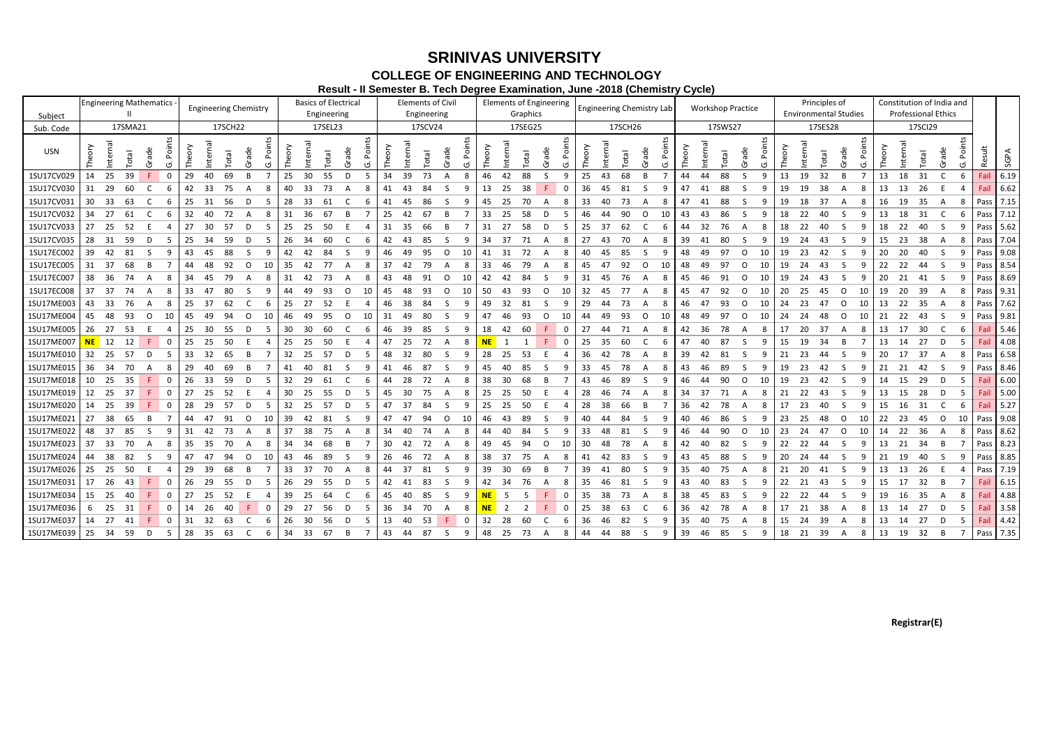#### **Registrar(E)**

# **COLLEGE OF ENGINEERING AND TECHNOLOGY SRINIVAS UNIVERSITY**

**Result - II Semester B. Tech Degree Examination, June -2018 (Chemistry Cycle)**

|            |              |          |              | <b>Engineering Mathematics</b>     | <b>Engineering Chemistry</b> |     |      |              |                        |             |              |          | <b>Basics of Electrical</b> |              |        |    |    | <b>Elements of Civil</b> |          |         |           |     | <b>Elements of Engineering</b> |  |                  |             | <b>Engineering Chemistry Lab</b> |     |             |                                       |      |      |       | <b>Workshop Practice</b> |              |       |        |          | Principles of |                              |       |    |        | Constitution of India and  |              |      |        |           |
|------------|--------------|----------|--------------|------------------------------------|------------------------------|-----|------|--------------|------------------------|-------------|--------------|----------|-----------------------------|--------------|--------|----|----|--------------------------|----------|---------|-----------|-----|--------------------------------|--|------------------|-------------|----------------------------------|-----|-------------|---------------------------------------|------|------|-------|--------------------------|--------------|-------|--------|----------|---------------|------------------------------|-------|----|--------|----------------------------|--------------|------|--------|-----------|
| Subject    |              |          | Ш            |                                    |                              |     |      |              |                        |             |              |          | Engineering                 |              |        |    |    | Engineering              |          |         |           |     | Graphics                       |  |                  |             |                                  |     |             |                                       |      |      |       |                          |              |       |        |          |               | <b>Environmental Studies</b> |       |    |        | <b>Professional Ethics</b> |              |      |        |           |
| Sub. Code  |              |          | 17SMA21      |                                    |                              |     |      | 17SCH22      |                        |             |              |          | 17SEL23                     |              |        |    |    | 17SCV24                  |          | 17SEG25 |           |     |                                |  |                  |             |                                  |     | 17SCH26     |                                       |      |      |       | 17SWS27                  |              |       |        |          | 17SES28       |                              |       |    |        | 17SCI29                    |              |      |        |           |
| <b>USN</b> |              | Internal | <b>Total</b> | $\mathbf \omega$<br>$\overline{g}$ | Poin                         |     |      | <b>Total</b> | $\mathbf \omega$<br>ਨੂ | Points      | <b>heory</b> | Internal | <b>lepo</b> .               | ω<br>ನ       | Points |    |    | <b>Iepo</b>              | ഄ<br>್ದಾ | Poin    |           |     | <b>lepo</b>                    |  | ade <sup>-</sup> | Poin        |                                  |     | <b>lepo</b> | Φ<br>$\overline{a}$<br>$\overline{0}$ | Poin | eory | ntern | <b>Iepo</b>              | ade          | Point | Theory | Internal | <b>Iepo</b>   | ade                          | Point |    | nterna | <b>Iepo</b>                | ade          | Poin | Result | SGPA      |
| 1SU17CV029 | 14           | 25       | 39           | F                                  | $\overline{0}$               | 29  | 40   | 69           | B.                     | 7           | 25           | 30       | 55                          | D            | -5     | 34 | 39 | 73                       |          | 8       | 46        | 42  | 88                             |  | S.               | 9           | 25                               | 43  | 68          | <b>B</b>                              |      | 44   | 44    | 88                       | S.           | 9     | 13     | 19       | 32            | <b>B</b>                     | -7    | 13 | 18     | 31                         |              | -6   | Fail   | 6.19      |
| 1SU17CV030 | -31          | - 29     | 60           | C                                  | 6                            | 42  | 33   | 75           | A                      | 8           | 40           | 33       | 73                          | A            | 8      | 41 | 43 | 84                       |          | q       | 13        | 25  | 38                             |  |                  | $\Omega$    | 36                               | 45  | 81          | -S                                    | -9   | 47   | 41    | 88                       | -S           | -9    | 19     | 19       | 38            | A                            | -8    | 13 | 13     | -26                        |              |      | Fail   | 6.62      |
| 1SU17CV031 | 30           | - 33     | 63           | C                                  | -6                           | 25  | -31  | 56           | D                      | -5          | 28           | - 33     | 61                          |              | 6      | 41 | 45 | 86                       |          |         | 45        | 25  | 70                             |  |                  | 8           | 33                               | -40 | 73          | A                                     | -8   | 47   | 41    | 88                       | <sub>S</sub> | -9    | 19     | 18       | 37            | A                            | -8    | 16 | 19     | -35                        | A            | -8   | Pass   | 7.15      |
| 1SU17CV032 | 34           | - 27     | 61           | C.                                 | -6                           | 32  | -40  | 72           | A                      | 8           | 31           | 36       | 67                          |              |        | 25 | 42 | 67                       |          |         | 33        | -25 | 58                             |  | -n               |             | 46                               | 44  | 90          | n                                     | 10   | 43   | 43    | 86                       | -S           | g     | 18     | 22       | 40            | -S                           |       | 13 | 18     | -31                        |              | -6   | Pass   | 7.12      |
| 1SU17CV033 | 27           | - 25     | 52           |                                    | $\Delta$                     | 27  | - 30 | 57           | D                      | -5          | 25           | - 25     | 50                          | E            |        | 31 | 35 | 66                       |          |         | 31        | 27  | 58                             |  | D                | -5          | 25                               | -37 | 62          |                                       | -6   | 44   | 32    | 76                       | A            | -8    | 18     | -22      | 40            | -S                           |       | 18 | 22     | 40                         | -S           | 9    | Pass   | 5.62      |
| 1SU17CV035 | 28           | - 31     | -59          | D                                  | -5                           | 25  | -34  | 59           | D                      | -5          | 26           | - 34     | 60                          | C            | 6      | 42 | 43 | 85                       |          | -9      | 34        | -37 | 71                             |  | A                | 8           | -27                              | -43 | 70          |                                       | 8    | 39   | -41   | -80                      | -S           | -9    | 19     | -24      | 43            | -S                           |       | 15 | 23     | - 38                       | A            | -8   | Pass   | 7.04      |
| 1SU17EC002 | 39           | 42       | 81           | S.                                 | -9                           | 43  | 45   | 88           | ς                      | 9           | 42           | - 42     | 84                          | -S           | 9      | 46 | 49 | 95                       | $\circ$  | 10      | 41        | -31 | 72                             |  | A                | 8           | 40                               | -45 | -85         | -S                                    |      | 48   | 49    | -97                      | $\mathsf{O}$ | 10    | 19     | 23       | 42            | <sub>S</sub>                 |       | 20 | 20     | 40                         | S.           | q    | Pass   | 9.08      |
| 1SU17EC005 | 31           | - 37     | 68           | B.                                 |                              | 44  | 48   | 92           | O                      | 10          | 35           | 42       | 77                          | A            | 8      | 37 | 42 | 79                       |          |         | 33        | 46  | 79                             |  |                  | 8           | 45                               | -47 | 92          | $\circ$                               | 10   | 48   | 49    | -97                      | $\Omega$     | 10    | 19     | 24       | 43            | -S                           |       | 22 | 22     | 44                         | S.           | 9    |        | Pass 8.54 |
| 1SU17EC007 | 38           | - 36     | 74           | A                                  | -8                           | 34  | 45   | 79           | A                      | -8          | 31           | 42       | - 73                        | A            | -8     | 43 | 48 | 91                       | $\Omega$ | 10      | 42        | 42  | -84                            |  | -S               | 9           | 31                               | -45 | 76          | A                                     | -8   | 45   | 46    | 91                       | $\Omega$     | -10   | 19     | -24      | 43            | -S                           |       | 20 | -21    | -41                        | -S           | 9    | Pass   | 8.69      |
| 1SU17EC008 | -37          | - 37     | 74           | A                                  | -8                           | 33  |      | 80           | -S                     | 9           | 44           | 49       | 93                          | O            | 10     | 45 | 48 | 93                       | $\Omega$ | 10      | 50        |     | 93                             |  | 0                | -10         | 32                               | -45 | 77          | A                                     | -8   | 45   | 47    | 92                       | $\Omega$     | 10    | 20     | 25       | 45            | $\Omega$                     | 10    | 19 | -20    | -39                        | A            | -8   | Pass   | 9.31      |
| 1SU17ME003 | 43           | - 33     | 76           | A                                  | -8                           | 25  | -37  | 62           |                        | -6          | 25           | 27       | 52                          | F            | 4      | 46 | 38 | 84                       |          |         | 49        | 32  | 81                             |  | -S               | 9           | 29                               | 44  | 73          |                                       | 8    | 46   | 47    | 93                       | O            | 10    | 24     | 23       | 47            | O                            | 10    | 13 | 22     | - 35                       | A            | 8    | Pass   | 7.62      |
| 1SU17ME004 | 45           | -48      | 93           | $\circ$                            | 10                           | 45  | 49   | 94           | O                      | 10          | 46           | 49       | 95                          | $\circ$      | 10     | 31 | 49 | 80                       |          |         | 47        | 46  | 93                             |  | $\Omega$         | -10         | 44                               | 49  | 93          | O                                     | 10   | 48   | 49    | 97                       | 0            | 10    | 24     | -24      | 48            | $\circ$                      | 10    | 21 | -22    | -43                        | -S           | -9   | Pass   | 9.81      |
| 1SU17ME005 | 26           | 27       | -53          |                                    |                              | 25  | - 30 | - 55         | D                      | -5          | 30           | - 30     | -60                         |              | 6      | 46 | 39 | -85                      | -S       | -9      | 18        | 42  | -60                            |  |                  | 0           | -27                              | -44 | 71          | A                                     | -8   | 42   | -36   | -78                      | A            | -8    | 17     | -20      | 37            | A                            | -8    | 13 | 17     | -30                        | C.           | -6   | Fail   | 5.46      |
| 1SU17ME007 | <b>NE</b> 12 |          | 12           | F.                                 | 0                            | 25  | 25   | 50           |                        |             | 25           | - 25     | -50                         |              |        | 47 | 25 | 72                       |          |         | <b>NE</b> |     |                                |  |                  | 0           | 25                               | -35 | 60          |                                       | -6   | 47   | 40    | -87                      | <b>S</b>     | q     | 15     | 19       | 34            | - B                          |       | 13 | 14     | 27                         | D            | -5   | Fail   | 4.08      |
| 1SU17ME010 | 32 25        |          | 57           | D                                  | -5                           | 33  | 32   | 65           | B                      |             |              | 32 25    | 57                          | D            | -5     | 48 | 32 | -80                      |          | -9      | 28        | -25 | -53                            |  | F                |             | 36                               | 42  | 78          | A                                     | 8    | 39   | 42    | 81                       | <sub>S</sub> | -9    | 21     | 23       | 44            | -S                           | -9    | 20 | 17     | 37                         | $\mathsf{A}$ | -8   | Pass   | 6.58      |
| 1SU17ME015 | 36           | - 34     | 70           | A                                  | 8                            | 29  | 40   | 69           |                        |             | 41           | 40       | -81                         | -S           | -9     | 41 | 46 | 87                       |          |         | 45        | 40  | 85                             |  | -S               | 9           | 33                               | 45  | 78          |                                       | -8   | 43   | -46   | -89                      | <sub>S</sub> | -9    | 19     | 23       | 42            | -S                           |       | 21 | -21    | 42                         | -S           | -9   | Pass   | 8.46      |
| 1SU17ME018 | 10           | - 25     | -35          |                                    | - 0                          | 26  | -33  | -59          | Ð                      | -5          | 32           | 29       | -61                         |              | 6      | 44 | 28 | 72                       |          |         | 38        | 30  | 68                             |  | -R               |             | 43                               | -46 | 89          | ς.                                    |      | 46   | 44    | 90                       | $\Omega$     | -10   | 19     | -23      | 42            | -S                           |       | 14 | 15     | 29                         | D            | -5   | Fail   | 6.00      |
| 1SU17ME019 | 12           | - 25     | 37           | F.                                 | $\overline{\mathbf{0}}$      | 27  | 25   | 52           |                        |             | 30           | 25       | 55                          | D            | -5     | 45 | 30 | 75                       | A        | 8       | 25        | 25  | -50                            |  |                  |             | 28                               | -46 | 74          |                                       | 8    | 34   | 37    | 71                       | A            | -8    | 21     | 22       | 43            | <sub>S</sub>                 |       | 13 | 15     | 28                         | D            | -5   | Fail   | 5.00      |
| 1SU17ME020 | 14           | 25       | 39           | F.                                 | 0                            | 28  | -29  | 57           | D                      | -5          | 32           | 25       | 57                          | D            | -5     | 47 | 37 | 84                       |          |         | 25        | 25  | 50                             |  |                  |             | 28                               | 38  | 66          | B                                     |      | 36   | 42    | 78                       | A            | -8    | 17     | 23       | 40            | -S                           | q     | 15 | 16     | -31                        |              | -6   | Fail   | 5.27      |
| 1SU17ME021 | 27           | -38      | 65           | B                                  |                              | 44  | 47   | 91           | $\Omega$               | 10          | 39           | 42       | -81                         | -S           |        | 47 | 47 | 94                       | ∩        | 10      | 46        | 43  | 89                             |  |                  |             | 40                               | 44  | 84          |                                       |      | 40   | 46    | -86                      | S            | -9    | 23     | 25       | 48            | $\Omega$                     | 10    | 22 | 23     | 45                         | O            | -10  | Pass   | 9.08      |
| 1SU17ME022 | 48 37        |          | 85           | S.                                 | - 9                          | -31 | 42   | 73           | A                      | -8          | 37           | - 38     | 75                          | A            | 8      | 34 | 40 | 74                       |          |         | 44        | 40  | 84                             |  | -S               | -9          | 33                               | 48  | 81          | -S                                    |      | 46   | 44    | -90                      | $\circ$      | -10   | 23     | -24      | 47            | O                            | 10    | 14 | - 22   | - 36                       | A            | -8   | Pass   | 8.62      |
| 1SU17ME023 | 37           | 33       | 70           | A                                  | -8                           | 35  | 35   | 70           | А                      | -8          | 34           | 34       | 68                          | B            |        | 30 | 42 | 72                       |          |         | 49        | 45  | 94                             |  | $\Omega$         | -10         | 30                               | 48  | 78          |                                       |      | 42   | 40    | 82                       | <sub>S</sub> | -9    | 22     | 22       | 44            | ς.                           |       | 13 | 21     | -34                        | B.           |      | Pass   | 8.23      |
| 1SU17ME024 | 44           | -38      | 82           | S.                                 | -9                           | 47  | 47   | 94           | O                      | 10          | 43           | -46      | 89                          | -S           | -9     | 26 | 46 | 72                       | A        | 8       | 38        | -37 | 75                             |  | A                | 8           | 41                               | 42  | 83          | -S                                    | 9    | 43   | 45    | 88                       | -S           | -9    | 20     | 24       | 44            | -S                           |       | 21 | 19     | 40                         | S.           | -9   | Pass   | 8.85      |
| 1SU17ME026 | 25           | - 25     | -50          | F.                                 | -4                           | 29  | -39  | 68           |                        |             | 33           | -37      | 70                          | A            | 8      | 44 | 37 | -81                      |          | -9      | 39        | 30  | 69                             |  | -B               |             | -39                              | -41 | -80         | -S                                    | 9    | 35   | 40    | 75                       | A            | -8    | 21     | 20       | 41            | -S                           |       | 13 | 13     | -26                        |              |      | Pass   | 7.19      |
| 1SU17ME031 | 17           | -26      | 43           |                                    | - 0                          | 26  | 29   | 55           | D                      | - 5         | 26           | - 29     | -55                         | D            | -5     | 42 | 41 | 83                       |          | -9      | 42        | -34 | 76                             |  | A                | 8           | 35                               | 46  | 81          | -S                                    | -9   | 43   |       | 83                       | -S           | - 9   | 22     | 21       | 43            | -S                           |       | 15 | 17     | 32 <sup>2</sup>            | <b>B</b>     | 7    | Fail   | 6.15      |
| 1SU17ME034 | 15           | -25      | 40           | F.                                 | - 0                          | 27  | 25   | 52           |                        |             | 39           | 25       | 64                          |              | 6      | 45 | 40 | 85                       |          | -9      | <b>NE</b> |     |                                |  |                  | $\mathbf 0$ | 35                               | -38 | 73          |                                       | -8   | 38   | 45    | 83                       | <sub>S</sub> | -9    | 22     | 22       | 44            | -S                           |       | 19 | 16     | -35                        | A            | 8    | Fail   | 4.88      |
| 1SU17ME036 | 6            | -25      | 31           | F.                                 | - 0                          | 14  | -26  | 40           |                        | $\mathbf 0$ | 29           | 27       | 56                          | D            | -5     | 36 | 34 | 70                       | A        | 8       | <b>NE</b> |     | 2                              |  |                  | 0           | 25                               | -38 | 63          | C                                     | -6   | 36   | 42    | 78                       | A            | -8    | 17     | 21       | 38            | A                            | -8    | 13 | 14     | 27                         | D            | -5   | Fail   | 3.58      |
| 1SU17ME037 | 14           | - 27     | 41           | F.                                 | - 0                          | 31  | 32   | 63           |                        | -6          | 26           | - 30     | 56                          | - D          | 5      | 13 | 40 | 53                       |          |         | 32        | -28 | 60                             |  |                  | 6           | 36                               | -46 | -82         |                                       |      | 35   | 40    | 75                       | A            | -8    | 15     | -24      | 39            | A                            |       | 13 | 14     | 27                         | D            |      | Fail   | 4.42      |
| 1SU17ME039 | 25 34        |          | - 59         | D                                  | -5                           | 28  | - 35 | - 63         |                        | -6          | 34           | - 33     | 67                          | <sub>B</sub> |        | 43 | 44 | 87                       | -S       | 9       | 48        | 25  | 73                             |  | A                | 8           | 44                               | 44  | 88          | -S                                    | -9   | 39   | 46    | 85                       | -S           | -9    | 18     | 21       | 39            | A                            | 8     | 13 | 19     | - 32                       | B            | 7    |        | Pass 7.35 |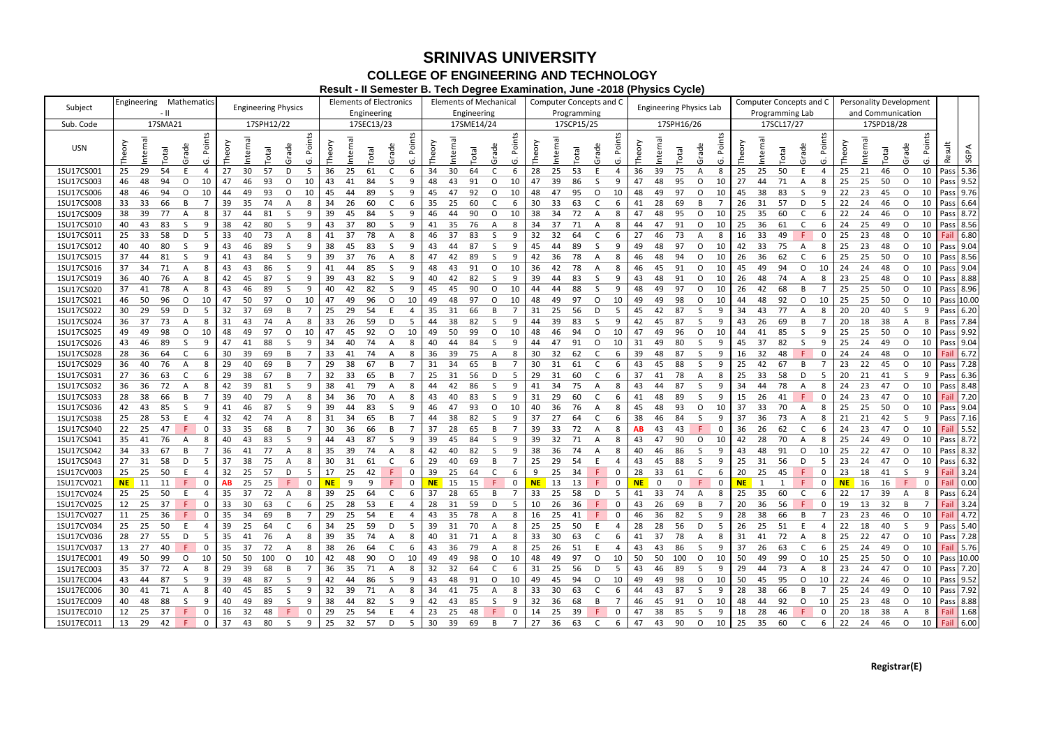|            |                                                 |                            |                                |             |                   |          |             | $\alpha$ is the computation of the computation of $\alpha$ is the computation of the computation of $\alpha$ |        |          |              |                                |        |         |                |                                |                 |        |             |                 |                         |                   |                       |                                |              |                |                   |            |  |  |  |
|------------|-------------------------------------------------|----------------------------|--------------------------------|-------------|-------------------|----------|-------------|--------------------------------------------------------------------------------------------------------------|--------|----------|--------------|--------------------------------|--------|---------|----------------|--------------------------------|-----------------|--------|-------------|-----------------|-------------------------|-------------------|-----------------------|--------------------------------|--------------|----------------|-------------------|------------|--|--|--|
|            | <b>Mathematics</b><br>Engineering               | <b>Engineering Physics</b> | <b>Elements of Electronics</b> |             |                   |          |             | <b>Elements of Mechanical</b>                                                                                |        |          |              | <b>Computer Concepts and C</b> |        |         |                | <b>Engineering Physics Lab</b> |                 |        |             |                 | Computer Concepts and C |                   |                       | <b>Personality Development</b> |              |                |                   |            |  |  |  |
| Subject    |                                                 |                            |                                | Engineering |                   |          | Engineering |                                                                                                              |        |          | Programming  |                                |        |         |                |                                |                 |        |             | Programming Lab |                         | and Communication |                       |                                |              |                |                   |            |  |  |  |
| Sub. Code  | 17SMA21                                         | 17SPH12/22                 |                                | 17SEC13/23  |                   |          | 17SME14/24  |                                                                                                              |        |          | 17SCP15/25   |                                |        |         | 17SPH16/26     |                                |                 |        |             | 17SCL17/27      |                         |                   |                       | 17SPD18/28                     |              |                |                   |            |  |  |  |
|            |                                                 |                            |                                |             |                   |          |             |                                                                                                              |        |          |              |                                |        |         |                |                                |                 |        |             |                 |                         |                   |                       |                                |              |                |                   |            |  |  |  |
|            | Points                                          | Points                     |                                |             | Points            |          |             | Points                                                                                                       |        |          |              | Points                         |        |         |                |                                | Points          |        |             |                 |                         | Points            |                       |                                |              | Points         |                   |            |  |  |  |
| USN        | Internal<br><b>Total</b>                        |                            | Internal                       |             |                   |          |             | rade                                                                                                         |        | nterna   | <b>Total</b> |                                | Theory | Interna |                |                                |                 | Theory |             | <b>Total</b>    | rade                    |                   | nterna<br>Theory      | Total                          |              |                |                   |            |  |  |  |
|            | Internal<br>Theory<br>Theory<br>Grade<br>(5     | Grade<br>Total             | Theory                         | Total       | Grade             | Theory   | Total       | $\overline{5}$                                                                                               | Theory |          |              | Grade<br>ה)                    |        |         | Total          | Grade                          |                 |        | Internal    |                 |                         | ق                 |                       |                                | Grade        | O              | Result            | SGPA       |  |  |  |
| 1SU17CS001 | 29<br>54<br>30<br>25<br>27<br>E<br>4            | 57<br>D<br>5               | 36<br>25                       | 61          | 6                 | 34<br>30 | 64          | -6                                                                                                           | 28     | 25       | 53           | 4                              | 36     | 39      | 75             | A                              | 8               | 25     | 25          | 50              |                         | 4                 | 25<br>21              | 46                             | $\circ$      | 10             | Pass              | 5.36       |  |  |  |
| 1SU17CS003 | 48<br>94<br>$\circ$<br>10<br>47<br>46<br>46     | 93<br>O<br>10              | 43<br>41                       | 84          | 9                 | 48<br>43 | 91          | O<br>10                                                                                                      | 47     | 39       | 86           |                                | 47     | 48      | 95             | O                              | 10              | 27     | 44          | 71              | A                       | 8                 | 25<br>25              | 50                             | $\circ$      | 10             |                   | Pass 9.52  |  |  |  |
| 1SU17CS006 | 46<br>94<br>10<br>44<br>48<br>$\circ$<br>49     | 93<br>O<br>10              | 45<br>44                       | 89          | -S<br>9           | 45<br>47 | 92          | $\circ$<br>10                                                                                                | 48     | 47       | 95           | O<br>10                        | 48     | 49      | 97             | O                              | 10              | 45     | 38          | 83              | -S                      | 9                 | 22<br>23              | 45                             | $\circ$      | 10             |                   | Pass 9.76  |  |  |  |
| 1SU17CS008 | 33<br>66<br>35<br>39<br>33<br>B                 | 74<br>A<br>8               | 26<br>34                       | 60          | 6                 | 35<br>25 | 60          | C<br>6                                                                                                       | 30     | 33       | 63           | 6                              | 41     | 28      | 69             | B                              |                 | 26     | 31          | 57              | D                       | -5                | 22<br>24              | 46                             | $\circ$      | 10             |                   | Pass 6.64  |  |  |  |
|            |                                                 | -S                         |                                |             | 9                 | 46<br>44 | 90          |                                                                                                              |        |          |              |                                |        |         |                |                                |                 |        |             |                 |                         |                   |                       |                                |              |                |                   | Pass 8.72  |  |  |  |
| 1SU17CS009 | 39<br>77<br>37<br>38<br>8<br>44<br>A            | 81<br>9                    | 39<br>45                       | 84          |                   |          |             | O<br>10                                                                                                      | 38     | 34       | 72           |                                | 47     | 48      | 95             | O                              | 10              | 25     | 35          | 60              | <sub>C</sub>            | 6                 | 22<br>24              | 46                             | $\circ$      | 10             |                   |            |  |  |  |
| 1SU17CS010 | 43<br>83<br>38<br>42<br>40<br><sub>S</sub><br>9 | 80<br>-S<br>9              | 37<br>43                       | 80          | -S<br>9           | 35<br>41 | 76          | 8<br>A                                                                                                       | 34     | 37       | 71           |                                | 44     | 47      | 91             | O                              | 10              | 25     | 36          | 61              | C                       |                   | 24<br>25              | 49                             | $\circ$      | 10             |                   | Pass 8.56  |  |  |  |
| 1SU17CS011 | 58<br>-33<br>33<br>40<br>25<br>D<br>5           | 73<br>A                    | 37<br>41                       | 78          | 8                 | 46<br>37 | 83          | S<br>9                                                                                                       | 32     | 32       | 64           | 6                              | 27     | 46      | 73             |                                | 8               | 16     | 33          | 49              |                         | 0                 | 25<br>23              | 48                             | $\circ$      | 10             | Fail              | 6.80       |  |  |  |
| 1SU17CS012 | 80<br>40<br>S.<br>43<br>46<br>40<br>9           | 89<br>-S<br>9              | 38<br>45                       | 83          | <sub>S</sub><br>9 | 43<br>44 | 87          | S<br>9                                                                                                       | 45     | 44       | 89           | S<br>9                         | 49     | 48      | 97             | 0                              | 10              | 42     | 33          | 75              | A                       | 8                 | 25<br>23              | 48                             | $\mathsf O$  | 10             |                   | Pass 9.04  |  |  |  |
| 1SU17CS015 | 81<br>44<br>43<br>37<br><sub>S</sub><br>9<br>41 | 84<br>-S<br>9              | 39<br>37                       | 76          | 8<br>A            | 47<br>42 | 89          | S<br>9                                                                                                       | 42     | 36       | 78           | 8<br>A                         | 46     | 48      | 94             | 0                              | 10              | 26     | 36          | 62              | C                       | 6                 | 25<br>25              | 50                             | $\circ$      | 10             |                   | Pass 8.56  |  |  |  |
| 1SU17CS016 | 34<br>71<br>37<br>43<br>43<br>8<br>Α            | 86<br>-S<br>9              | 41<br>44                       | 85          | 9                 | 48<br>43 | 91          | O<br>10                                                                                                      | 36     | 42       | 78           | 8<br>A                         | 46     | 45      | 91             | 0                              | 10              | 45     | 49          | 94              | 0                       | 24<br>10          | 24                    | 48                             | $\circ$      | 10             |                   | Pass 9.04  |  |  |  |
| 1SU17CS019 | 76<br>36<br>40<br>42<br>45<br>8<br>A            | 87<br>-S<br>9              | 39<br>43                       | 82          | <sub>S</sub><br>9 | 40<br>42 | 82          | S<br>9                                                                                                       | 39     | 44       | 83           | 9                              | 43     | 48      | 91             | O                              | 10              | 26     | 48          | 74              | A                       | 8                 | 23<br>25              | 48                             | $\circ$      | 10             |                   | Pass 8.88  |  |  |  |
| 1SU17CS020 | 78<br>41<br>37<br>43<br>46<br>A<br>8            | 89<br>-S                   | 40<br>42                       | 82          | <sub>S</sub><br>9 | 45<br>45 | 90          | O<br>10                                                                                                      | 44     | 44       | 88           | 9<br><sub>S</sub>              | 48     | 49      | 97             | O                              | 10              | 26     | 42          | 68              | B                       |                   | 25<br>25              | 50                             | $\circ$      | 10             |                   | Pass 8.96  |  |  |  |
| 1SU17CS021 | 96<br>46<br>50<br>0<br>10<br>47<br>50           | 97<br>O<br>10              | 47<br>49                       | 96          | O<br>10           | 49<br>48 | 97          | 0<br>10                                                                                                      | 48     | 49       | 97           | 10<br>$\circ$                  | 49     | 49      | 98             | 0                              | 10              | 44     | 48          | 92              | $\circ$                 | 25<br>10          | 25                    | 50                             | O            | 10             |                   | Pass 10.00 |  |  |  |
| 1SU17CS022 | 29<br>59<br>37<br>D<br>32<br>30<br>5            | 69<br>B                    | 29<br>25                       | 54          |                   | 35<br>31 | 66          | B                                                                                                            | 31     | 25       | 56           | D<br>-5                        | 45     | 42      | 87             | <sub>S</sub>                   | -9              | 34     | 43          | 77              | A                       | 20<br>8           | 20                    | 40                             | -S           |                | Pass I            | 6.20       |  |  |  |
| 1SU17CS024 | 73<br>37<br>31<br>43<br>36<br>A<br>8            | 74<br>A<br>8               | 26<br>33                       | 59          | D<br>-5           | 44<br>38 | 82          | S<br>9                                                                                                       | 44     | 39       | 83           | 9                              | 42     | 45      | 87             | S.                             | -9              | 43     | 26          | 69              | B                       |                   | 18<br>20              | 38                             | A            | -8             | Pass I            | 7.84       |  |  |  |
|            | 98<br>49<br>48<br>49<br>$\circ$                 | 97<br>$\circ$              | 47<br>45                       | 92          | $\circ$           | 49<br>50 | 99          | O<br>10                                                                                                      | 48     | 46       | 94           | 10<br>$\circ$                  | 47     | 49      | 96             | 0                              |                 | 44     | 41          | 85              | -S                      | 25<br>9           | 25                    | 50                             | O            | 10             |                   | Pass 9.92  |  |  |  |
| 1SU17CS025 | 10<br>49                                        | 10                         |                                |             | 10                |          |             |                                                                                                              |        |          |              |                                |        |         |                |                                | 10              |        |             |                 |                         |                   |                       |                                |              |                |                   |            |  |  |  |
| 1SU17CS026 | 46<br>89<br>47<br>41<br>43<br>-S<br>9           | 88<br>-S<br>9              | 40<br>34                       | 74          | 8                 | 40<br>44 | 84          | -S<br>9                                                                                                      | 44     | 47       | 91           | $\circ$<br>10                  | 31     | 49      | 80             | S.                             | -9              | 45     | 37          | 82              | -S                      | 9                 | 24<br>25              | 49                             | $\circ$      | 10             |                   | Pass 9.04  |  |  |  |
| 1SU17CS028 | 36<br>64<br>39<br>C<br>30<br>28<br>6            | 69<br>B                    | 33<br>41                       | 74          | 8                 | 36<br>39 | 75          | Α<br>8                                                                                                       | 30     | 32       | 62           | 6                              | 39     | 48      | 87             | S.                             | 9               | 16     | 32          | 48              |                         | 24<br>0           | 24                    | 48                             | $\circ$      | 10             | Fail              | 6.72       |  |  |  |
| 1SU17CS029 | 40<br>76<br>29<br>40<br>36<br>A<br>8            | 69<br>B                    | 38<br>29                       | 67          | B                 | 31<br>34 | 65          | B<br>7                                                                                                       | 30     | 31       | 61           | 6                              | 43     | 45      | 88             | S.                             | -9              | 25     | 42          | 67              | B                       |                   | 23<br>22              | 45                             | $\circ$      | 10             | Pass              | 7.28       |  |  |  |
| 1SU17CS031 | 36<br>63<br>38<br>6<br>29<br>27                 | 67<br>B                    | 33<br>32                       | 65          | B                 | 25<br>31 | 56          | D<br>-5                                                                                                      | 29     | 31       | 60           | 6                              | 37     | 41      | 78             | A                              | 8               | 25     | 33          | 58              | D                       | 5                 | 21<br>20              | 41                             | <sub>S</sub> | -9             | Pass <sup>1</sup> | 6.36       |  |  |  |
| 1SU17CS032 | 72<br>36<br>42<br>39<br>36<br>8<br>Α            | 81<br>-S<br>9              | 38<br>41                       | 79          | 8                 | 44<br>42 | 86          | S<br>9                                                                                                       | 41     | 34       | 75           | 8<br>A                         | 43     | 44      | 87             | S.                             | -9              | 34     | 44          | 78              | A                       | 24<br>8           | 23                    | 47                             | $\circ$      | 10             |                   | Pass 8.48  |  |  |  |
| 1SU17CS033 | 66<br>38<br>40<br>28<br>39<br>B                 | 79<br>A<br>8               | 36<br>34                       | 70          | 8<br>A            | 43<br>40 | 83          | S<br>9                                                                                                       | 31     | 29       | 60           | 6                              | 41     | 48      | 89             | S.                             | 9               | 15     | 26          | 41              |                         | 24<br>$\mathbf 0$ | 23                    | 47                             | $\circ$      | 10             | Fail              | 7.20       |  |  |  |
| 1SU17CS036 | 43<br>85<br>46<br>42<br>S<br>9<br>41            | 87<br>-S<br>9              | 39<br>44                       | 83          | -S<br>9           | 46<br>47 | 93          | O<br>10                                                                                                      | 40     | 36       | 76           | 8<br>A                         | 45     | 48      | 93             | 0                              | 10              | 37     | 33          | 70              | A                       | 8                 | 25<br>25              | 50                             | $\circ$      | 10             | Pass              | 9.04       |  |  |  |
| 1SU17CS038 | 28<br>53<br>42<br>25<br>32                      | 74<br>A                    | 31<br>34                       | 65          |                   | 44<br>38 | 82          | -S<br>9                                                                                                      | 37     | 27       | 64           | 6                              | 38     | 46      | 84             | <sub>S</sub>                   | 9               | 37     | 36          | 73              | A                       | 21<br>8           | 21                    | 42                             | -S           | -9             | Pass              | 7.16       |  |  |  |
| 1SU17CS040 | 25<br>47<br>33<br>35<br>22                      | 68<br>B                    | 36<br>30                       | 66          |                   | 37<br>28 | 65          |                                                                                                              | 39     | 33       | 72           |                                | AB     | 43      | 43             |                                | 0               | 36     | 26          | 62              |                         | 24                | 23                    | 47                             | $\circ$      | 10             | Fail              | 5.52       |  |  |  |
| 1SU17CS041 | 41<br>76<br>35<br>40<br>43<br>A                 | 83<br>-S                   | 43<br>44                       | 87          | 9                 | 39<br>45 | 84          | <sub>S</sub><br>9                                                                                            | 39     | 32       | 71           |                                | 43     | 47      | 90             | O                              | 10              | 42     | 28          | 70              | A                       | 8                 | 25<br>24              | 49                             | $\circ$      | 10             |                   | Pass 8.72  |  |  |  |
| 1SU17CS042 | 33<br>67<br>34<br>36<br>41<br>B                 | 77<br>A                    | 39<br>35                       | 74          | 8                 | 42<br>40 | 82          | S<br>-9                                                                                                      | 38     | 36       | 74           | A                              | 40     | 46      | 86             | -S                             | -9              | 43     | 48          | 91              | $\circ$                 | 10                | 25<br>22              | 47                             | $\circ$      | 10             |                   | Pass 8.32  |  |  |  |
| 1SU17CS043 | 58<br>37<br>31<br>38<br>27<br>D                 | 75                         | 30<br>31                       | 61          | 6                 | 29<br>40 | 69          | B                                                                                                            | 25     | 29       | 54           |                                | 43     | 45      | 88             | S.                             | 9               | 25     |             | 56              | D                       |                   | 23<br>24              | 47                             | $\circ$      | 10             |                   | Pass 6.32  |  |  |  |
|            |                                                 | A                          |                                |             |                   |          |             |                                                                                                              |        |          |              |                                |        |         |                |                                |                 |        | 31          |                 |                         |                   |                       |                                |              |                |                   |            |  |  |  |
| 1SU17CV003 | 25<br>50<br>32<br>25<br>25                      | 57<br>D                    | 17<br>25                       | 42          | 0                 | 39<br>25 | 64          | 6                                                                                                            | 9      | 25       | 34           | 0                              | 28     | 33      | 61             | C                              | 6               | 20     | 25          | 45              |                         | 0                 | 23<br>18              | 41                             | S.           | -9             |                   | Fail 3.24  |  |  |  |
| 1SU17CV021 | <b>NE</b> 11 11<br>25<br>25<br>F.<br>AB<br>0    | F.<br>$\mathbf 0$          | NE<br>q                        | 9           | F<br>$\mathbf 0$  | $N$ E 15 | 15          | F.<br>$\mathbf{0}$                                                                                           |        | $NE$ 13  | 13           | F.<br>$\mathbf 0$              |        | $NE$ 0  | $\overline{0}$ | F.                             | $\overline{0}$  | $NE$ 1 |             | 1               | F.                      | $\mathbf 0$       |                       | <b>NE</b> 16 16                | F.           | $\overline{0}$ |                   | Fail 0.00  |  |  |  |
| 1SU17CV024 | 50<br>37 72<br>25<br>25<br>35<br>E              | A<br>8                     | 39<br>25                       | 64          | 6                 | 37<br>28 | 65          | $\overline{7}$<br>B                                                                                          | 33     | 25       | 58           | D<br>5                         | 41     | 33      | 74             | A                              | 8               | 25     | 35          | 60              | <sub>c</sub>            | 6                 | 22<br>$\overline{17}$ | 39                             | A            | 8              |                   | Pass 6.24  |  |  |  |
| 1SU17CV025 | 37<br>12 25<br>33<br>30<br>$\mathbf 0$          | 63<br>$\mathsf{C}$<br>6    | 25<br>28                       | 53          | E<br>4            | 28<br>31 | 59          | D<br>5                                                                                                       | 10     | 26       | 36           | 0                              | 43     | -26     | 69             | B                              | $7\overline{ }$ | 20 36  |             | 56              | F.                      | $\mathbf{0}$      | 19 13                 | 32                             | B            | $\overline{7}$ |                   | Fail 3.24  |  |  |  |
| 1SU17CV027 | 36<br>11 25<br>35<br>34<br>-F -<br>$\mathbf 0$  | 69<br>B                    | 29<br>25                       | 54          |                   | 43<br>35 | 78          | 8<br>A                                                                                                       | 16     | 25       | 41           | $\mathbf{0}$                   | 46     | 36      | 82             | S.                             | 9               | 28     | 38          | 66              | B                       |                   | 23<br>23              | 46                             | $\circ$      | 10             |                   | Fail 4.72  |  |  |  |
| 1SU17CV034 | 50<br>25<br>39<br>25<br>25<br>E.                | 64<br>C<br>6               | 34<br>25                       | 59          | D<br>5            | 39<br>31 | 70          | 8<br>A                                                                                                       | 25     | 25       | 50           | 4                              | 28     | 28      | 56             | D                              | 5               | 26     | 25          | 51              | E.                      |                   | 22<br>18              | 40                             | S.           | -9             | Pass 5.40         |            |  |  |  |
| 1SU17CV036 | 55<br>27<br>35<br>28<br>41<br>D<br>5            | 76<br>A<br>8               | 39<br>35                       | 74          | 8<br>A            | 40<br>31 | 71          | 8<br>A                                                                                                       | 33     | 30       | 63           | 6                              | 41     | 37      | 78             | A                              | 8               | 31     | 41          | 72              | A                       | 8                 | 25<br>22              | 47                             | $\circ$      |                | 10   Pass   7.28  |            |  |  |  |
| 1SU17CV037 | 40<br>37<br>27<br>35<br>13<br>0                 | 72<br>A                    | 38<br>26                       | 64          | 6                 | 43<br>36 | 79          | 8<br>A                                                                                                       | 25     | 26       | - 51         | 4                              | 43     | 43      | 86             | S.                             | 9               | 37     | 26          | 63              | <sub>C</sub>            | 6                 | 25<br>24              | 49                             | $\circ$      | 10             |                   | Fail 5.76  |  |  |  |
| 1SU17EC001 | 99<br>50<br>50<br>50<br>$\circ$<br>10<br>49     | 100<br>$\circ$<br>10       | 42<br>48                       | 90          | O<br>10           | 49<br>49 | 98          | 10<br>0                                                                                                      | 48     | 49       | 97           | 10<br>$\circ$                  | 50     | 50      | 100            | $\circ$                        | 10              | 50     | 49          | 99              | $\circ$                 | 10                | 25<br>25              | 50                             | $\circ$      |                | 10   Pass 10.00   |            |  |  |  |
| 1SU17EC003 | 72<br>37<br>39<br>35<br>8<br>29<br>A            | 68<br>B                    | 36<br>35                       | 71          | 8<br>A            | 32<br>32 | 64          | 6                                                                                                            | 31     | 25       | - 56         | D<br>-5                        | 43     | 46      | 89             | S.                             | -9              | 29     | 44          | 73              | A                       | 8                 | 23<br>24              | 47                             | $\circ$      |                | 10   Pass   7.20  |            |  |  |  |
| 1SU17EC004 | 87<br>44<br>39<br>48<br>43<br>S.<br>9           | 87<br>-S<br>9              | 42<br>-44                      | 86          | -S<br>9           | 43<br>48 | 91          | $\circ$<br>10                                                                                                | 49     | 45       | 94           | 10<br>$\circ$                  | 49     | 49      | 98             | $\circ$                        | 10              | 50     | 45          | 95              | $\circ$                 | 10                | 22<br>24              | 46                             | $\circ$      |                | 10   Pass   9.52  |            |  |  |  |
|            | 71                                              |                            | 39                             |             |                   |          |             |                                                                                                              |        |          |              | 6                              |        |         | 87             |                                |                 |        |             |                 | B                       |                   | 24                    | 49                             | $\circ$      |                | 10   Pass   7.92  |            |  |  |  |
| 1SU17EC006 | 41<br>40<br>45<br>30<br>A<br>8                  | 85<br>-S<br>9              | 32                             | 71          | 8<br>A            | 34<br>41 | 75          | 8<br>A                                                                                                       | 33     | 30       | 63           |                                | 44     | 43      |                | S.                             | 9               | 28     | 38          | 66              |                         |                   | 25                    |                                |              |                |                   |            |  |  |  |
| 1SU17EC009 | 88<br>48<br>40<br>49<br>40<br>-S<br>9           | 89<br>-S<br>9              | 38<br>44                       | 82          | -S<br>9           | 42<br>43 | 85          | S.<br>9                                                                                                      | 32     | 36       | 68           |                                | 46     | 45      | 91             | O                              | 10              | 48     | 44          | 92              | $\circ$                 | 10                | 23<br>25              | 48                             | $\circ$      |                | 10   Pass   8.88  |            |  |  |  |
| 1SU17EC010 | 25<br>32<br>$37$ F<br>16<br>12<br>$\mathbf 0$   | 48<br>29<br>$\mathbf{0}$   | 25                             | 54          | Ε                 | 23<br>25 | 48          | $F =$<br>$\overline{0}$                                                                                      | 14     | 25       | 39           | $\overline{0}$<br>F.           | 47     | 38      | 85             | S.                             | 9               | 18     | 28          | 46              |                         | $\mathbf{0}$      | 18<br>20              | 38                             | A            | 8              |                   | Fail 1.68  |  |  |  |
| 1SU17EC011 | 43 80<br>29 42 F<br>37<br>13<br>$\overline{0}$  | S.<br>9                    | 25 32 57                       | D           | 5 <sup>1</sup>    | 30 39 69 |             | B<br>$7\overline{ }$                                                                                         |        | 27 36 63 |              | 6                              | 47     |         |                | 43 90 0                        |                 |        | 10 25 35 60 |                 | $\overline{C}$          | 6                 | 22 24                 |                                | 46 O         |                | 10 Fail 6.00      |            |  |  |  |

## **SRINIVAS UNIVERSITY COLLEGE OF ENGINEERING AND TECHNOLOGY Result - II Semester B. Tech Degree Examination, June -2018 (Physics Cycle)**